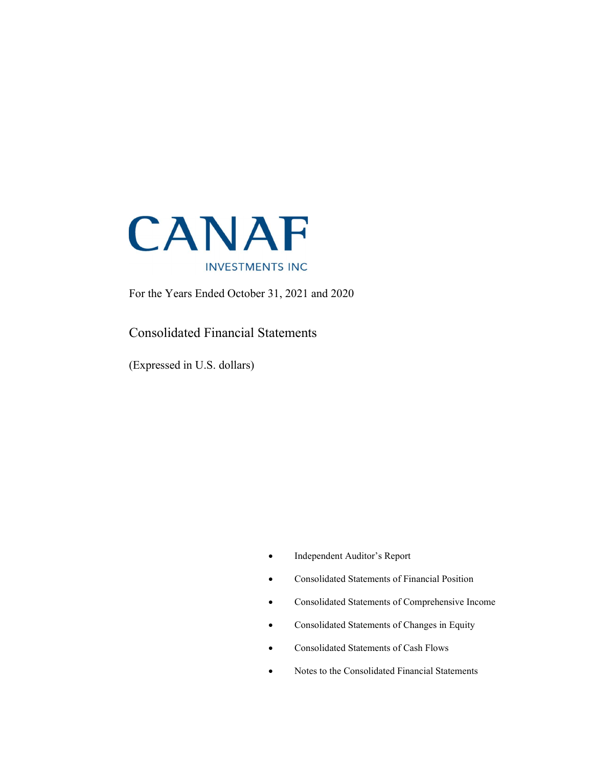

For the Years Ended October 31, 2021 and 2020

### Consolidated Financial Statements

(Expressed in U.S. dollars)

- Independent Auditor's Report
- Consolidated Statements of Financial Position
- Consolidated Statements of Comprehensive Income
- Consolidated Statements of Changes in Equity
- Consolidated Statements of Cash Flows
- Notes to the Consolidated Financial Statements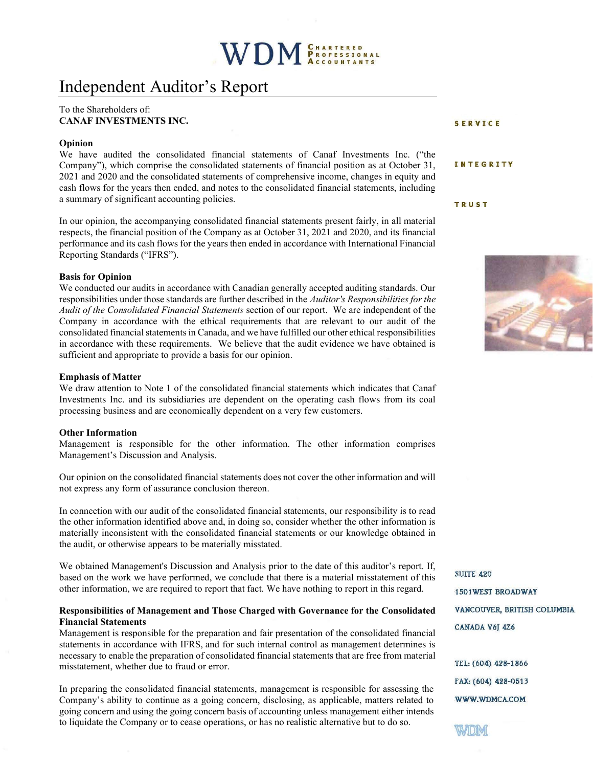## Independent Auditor's Report

#### To the Shareholders of: CANAF INVESTMENTS INC.

#### Opinion

We have audited the consolidated financial statements of Canaf Investments Inc. ("the Company"), which comprise the consolidated statements of financial position as at October 31, 2021 and 2020 and the consolidated statements of comprehensive income, changes in equity and cash flows for the years then ended, and notes to the consolidated financial statements, including a summary of significant accounting policies.

In our opinion, the accompanying consolidated financial statements present fairly, in all material respects, the financial position of the Company as at October 31, 2021 and 2020, and its financial performance and its cash flows for the years then ended in accordance with International Financial Reporting Standards ("IFRS").

#### Basis for Opinion

We conducted our audits in accordance with Canadian generally accepted auditing standards. Our responsibilities under those standards are further described in the Auditor's Responsibilities for the Audit of the Consolidated Financial Statements section of our report. We are independent of the Company in accordance with the ethical requirements that are relevant to our audit of the consolidated financial statements in Canada, and we have fulfilled our other ethical responsibilities in accordance with these requirements. We believe that the audit evidence we have obtained is sufficient and appropriate to provide a basis for our opinion.

#### Emphasis of Matter

We draw attention to Note 1 of the consolidated financial statements which indicates that Canaf Investments Inc. and its subsidiaries are dependent on the operating cash flows from its coal processing business and are economically dependent on a very few customers.

#### Other Information

Management is responsible for the other information. The other information comprises Management's Discussion and Analysis.

Our opinion on the consolidated financial statements does not cover the other information and will not express any form of assurance conclusion thereon.

In connection with our audit of the consolidated financial statements, our responsibility is to read the other information identified above and, in doing so, consider whether the other information is materially inconsistent with the consolidated financial statements or our knowledge obtained in the audit, or otherwise appears to be materially misstated.

We obtained Management's Discussion and Analysis prior to the date of this auditor's report. If, based on the work we have performed, we conclude that there is a material misstatement of this other information, we are required to report that fact. We have nothing to report in this regard.

#### Responsibilities of Management and Those Charged with Governance for the Consolidated Financial Statements

Management is responsible for the preparation and fair presentation of the consolidated financial statements in accordance with IFRS, and for such internal control as management determines is necessary to enable the preparation of consolidated financial statements that are free from material misstatement, whether due to fraud or error.

In preparing the consolidated financial statements, management is responsible for assessing the Company's ability to continue as a going concern, disclosing, as applicable, matters related to going concern and using the going concern basis of accounting unless management either intends to liquidate the Company or to cease operations, or has no realistic alternative but to do so.

SERVICE

#### INTEGRITY

**TRUST** 



**SUITE 420 1501WEST BROADWAY** VANCOUVER, BRITISH COLUMBIA CANADA V6J 4Z6

TEL: (604) 428-1866 FAX: (604) 428-0513 WWW.WDMCA.COM

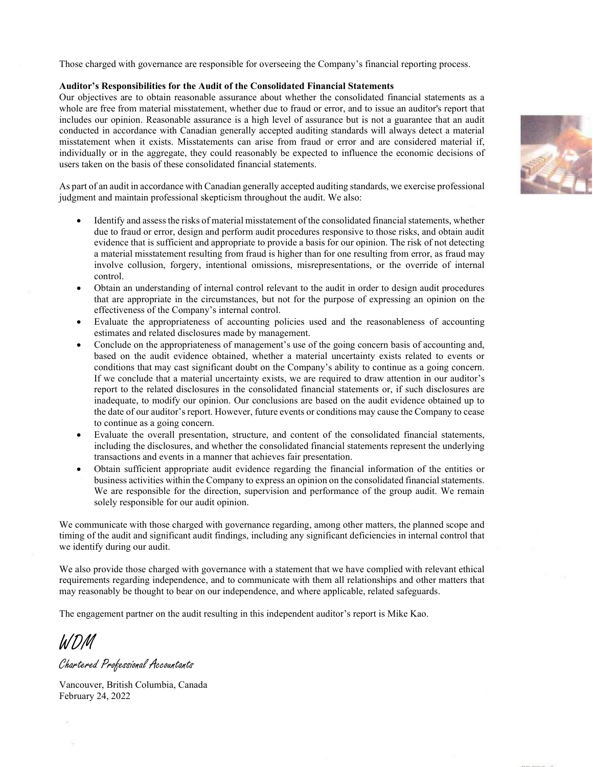Those charged with governance are responsible for overseeing the Company's financial reporting process.

#### Auditor's Responsibilities for the Audit of the Consolidated Financial Statements

Our objectives are to obtain reasonable assurance about whether the consolidated financial statements as a whole are free from material misstatement, whether due to fraud or error, and to issue an auditor's report that includes our opinion. Reasonable assurance is a high level of assurance but is not a guarantee that an audit conducted in accordance with Canadian generally accepted auditing standards will always detect a material misstatement when it exists. Misstatements can arise from fraud or error and are considered material if, individually or in the aggregate, they could reasonably be expected to influence the economic decisions of users taken on the basis of these consolidated financial statements.

As part of an audit in accordance with Canadian generally accepted auditing standards, we exercise professional judgment and maintain professional skepticism throughout the audit. We also:

- Identify and assess the risks of material misstatement of the consolidated financial statements, whether due to fraud or error, design and perform audit procedures responsive to those risks, and obtain audit evidence that is sufficient and appropriate to provide a basis for our opinion. The risk of not detecting a material misstatement resulting from fraud is higher than for one resulting from error, as fraud may involve collusion, forgery, intentional omissions, misrepresentations, or the override of internal control.
- Obtain an understanding of internal control relevant to the audit in order to design audit procedures that are appropriate in the circumstances, but not for the purpose of expressing an opinion on the effectiveness of the Company's internal control.
- Evaluate the appropriateness of accounting policies used and the reasonableness of accounting estimates and related disclosures made by management.
- Conclude on the appropriateness of management's use of the going concern basis of accounting and, based on the audit evidence obtained, whether a material uncertainty exists related to events or conditions that may cast significant doubt on the Company's ability to continue as a going concern. If we conclude that a material uncertainty exists, we are required to draw attention in our auditor's report to the related disclosures in the consolidated financial statements or, if such disclosures are inadequate, to modify our opinion. Our conclusions are based on the audit evidence obtained up to the date of our auditor's report. However, future events or conditions may cause the Company to cease to continue as a going concern.
- Evaluate the overall presentation, structure, and content of the consolidated financial statements, including the disclosures, and whether the consolidated financial statements represent the underlying transactions and events in a manner that achieves fair presentation.
- Obtain sufficient appropriate audit evidence regarding the financial information of the entities or business activities within the Company to express an opinion on the consolidated financial statements. We are responsible for the direction, supervision and performance of the group audit. We remain solely responsible for our audit opinion.

We communicate with those charged with governance regarding, among other matters, the planned scope and timing of the audit and significant audit findings, including any significant deficiencies in internal control that we identify during our audit.

We also provide those charged with governance with a statement that we have complied with relevant ethical requirements regarding independence, and to communicate with them all relationships and other matters that may reasonably be thought to bear on our independence, and where applicable, related safeguards.

The engagement partner on the audit resulting in this independent auditor's report is Mike Kao.

WDM

Chartered Professional Accountants

Vancouver, British Columbia, Canada February 24, 2022

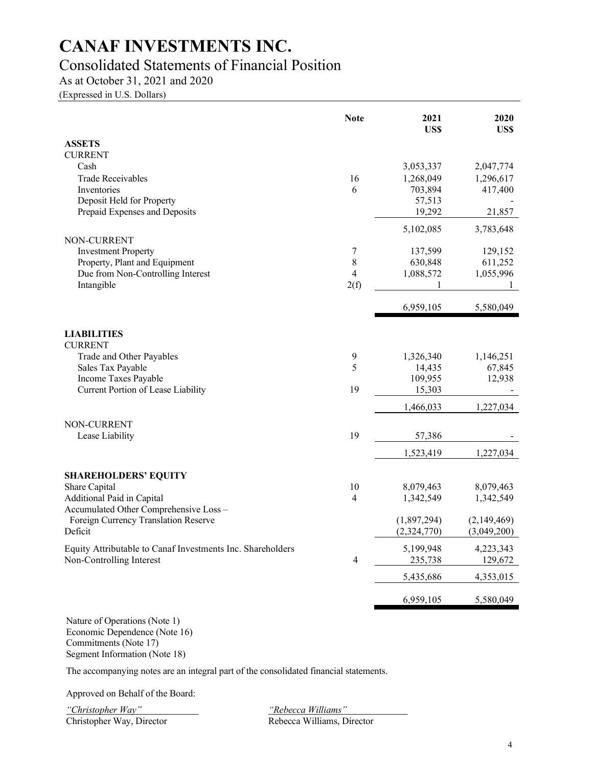### Consolidated Statements of Financial Position

As at October 31, 2021 and 2020

(Expressed in U.S. Dollars)

|                                                             | <b>Note</b>              | 2021<br>US\$        | 2020<br>US\$        |
|-------------------------------------------------------------|--------------------------|---------------------|---------------------|
| <b>ASSETS</b>                                               |                          |                     |                     |
| <b>CURRENT</b>                                              |                          |                     |                     |
| Cash                                                        |                          | 3,053,337           | 2,047,774           |
| <b>Trade Receivables</b>                                    | 16                       | 1,268,049           | 1,296,617           |
| Inventories                                                 | 6                        | 703,894             | 417,400             |
| Deposit Held for Property<br>Prepaid Expenses and Deposits  |                          | 57,513<br>19,292    | 21,857              |
|                                                             |                          |                     |                     |
|                                                             |                          | 5,102,085           | 3,783,648           |
| NON-CURRENT                                                 |                          |                     |                     |
| <b>Investment Property</b><br>Property, Plant and Equipment | 7<br>8                   | 137,599<br>630,848  | 129,152<br>611,252  |
| Due from Non-Controlling Interest                           | 4                        | 1,088,572           | 1,055,996           |
| Intangible                                                  | 2(f)                     | 1                   | 1                   |
|                                                             |                          |                     |                     |
|                                                             |                          | 6,959,105           | 5,580,049           |
| <b>LIABILITIES</b>                                          |                          |                     |                     |
| <b>CURRENT</b>                                              |                          |                     |                     |
| Trade and Other Payables                                    | 9<br>5                   | 1,326,340<br>14,435 | 1,146,251<br>67,845 |
| Sales Tax Payable<br>Income Taxes Payable                   |                          | 109,955             | 12,938              |
| Current Portion of Lease Liability                          | 19                       | 15,303              |                     |
|                                                             |                          | 1,466,033           | 1,227,034           |
|                                                             |                          |                     |                     |
| NON-CURRENT                                                 |                          |                     |                     |
| Lease Liability                                             | 19                       | 57,386              |                     |
|                                                             |                          | 1,523,419           | 1,227,034           |
| <b>SHAREHOLDERS' EQUITY</b>                                 |                          |                     |                     |
| Share Capital                                               | 10                       | 8,079,463           | 8,079,463           |
| Additional Paid in Capital                                  | $\overline{4}$           | 1,342,549           | 1,342,549           |
| Accumulated Other Comprehensive Loss-                       |                          |                     |                     |
| Foreign Currency Translation Reserve                        |                          | (1,897,294)         | (2,149,469)         |
| Deficit                                                     |                          | (2,324,770)         | (3,049,200)         |
| Equity Attributable to Canaf Investments Inc. Shareholders  |                          | 5,199,948           | 4,223,343           |
| Non-Controlling Interest                                    | $\overline{\mathcal{A}}$ | 235,738             | 129,672             |
|                                                             |                          | 5,435,686           | 4,353,015           |
|                                                             |                          | 6,959,105           | 5,580,049           |
|                                                             |                          |                     |                     |

Nature of Operations (Note 1) Economic Dependence (Note 16) Commitments (Note 17) Segment Information (Note 18)

The accompanying notes are an integral part of the consolidated financial statements.

Approved on Behalf of the Board:

"Christopher Way" "Rebecca Williams" Christopher Way, Director Rebecca Williams, Director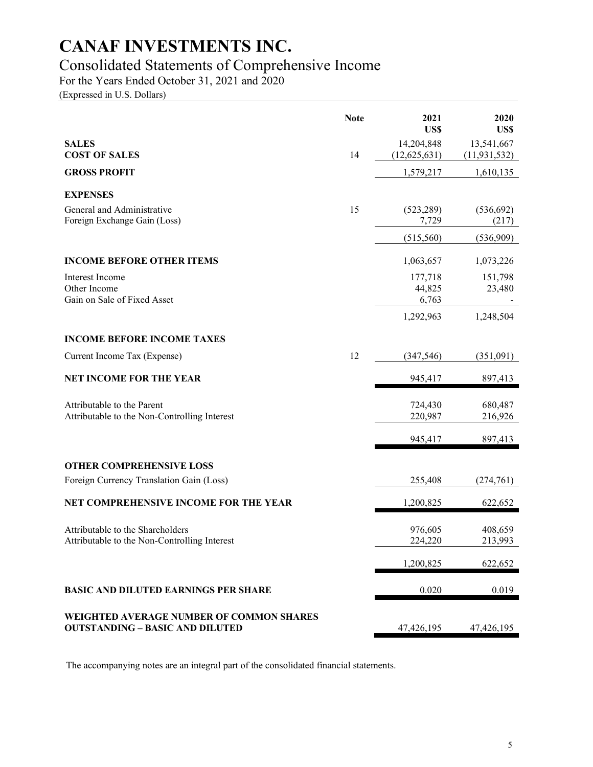### Consolidated Statements of Comprehensive Income

For the Years Ended October 31, 2021 and 2020

(Expressed in U.S. Dollars)

|                                                                                    | <b>Note</b> | 2021<br>US\$               | 2020<br>US\$                 |
|------------------------------------------------------------------------------------|-------------|----------------------------|------------------------------|
| <b>SALES</b><br><b>COST OF SALES</b>                                               | 14          | 14,204,848<br>(12,625,631) | 13,541,667<br>(11, 931, 532) |
| <b>GROSS PROFIT</b>                                                                |             | 1,579,217                  | 1,610,135                    |
| <b>EXPENSES</b>                                                                    |             |                            |                              |
| General and Administrative<br>Foreign Exchange Gain (Loss)                         | 15          | (523, 289)<br>7,729        | (536, 692)<br>(217)          |
|                                                                                    |             | (515,560)                  | (536,909)                    |
| <b>INCOME BEFORE OTHER ITEMS</b>                                                   |             | 1,063,657                  | 1,073,226                    |
| Interest Income<br>Other Income<br>Gain on Sale of Fixed Asset                     |             | 177,718<br>44,825<br>6,763 | 151,798<br>23,480            |
|                                                                                    |             | 1,292,963                  | 1,248,504                    |
| <b>INCOME BEFORE INCOME TAXES</b>                                                  |             |                            |                              |
| Current Income Tax (Expense)                                                       | 12          | (347, 546)                 | (351,091)                    |
| <b>NET INCOME FOR THE YEAR</b>                                                     |             | 945,417                    | 897,413                      |
| Attributable to the Parent<br>Attributable to the Non-Controlling Interest         |             | 724,430<br>220,987         | 680,487<br>216,926           |
|                                                                                    |             | 945,417                    | 897,413                      |
| <b>OTHER COMPREHENSIVE LOSS</b>                                                    |             |                            |                              |
| Foreign Currency Translation Gain (Loss)                                           |             | 255,408                    | (274, 761)                   |
| NET COMPREHENSIVE INCOME FOR THE YEAR                                              |             | 1,200,825                  | 622,652                      |
| Attributable to the Shareholders<br>Attributable to the Non-Controlling Interest   |             | 976,605<br>224,220         | 408,659<br>213,993           |
|                                                                                    |             | 1,200,825                  | 622,652                      |
| <b>BASIC AND DILUTED EARNINGS PER SHARE</b>                                        |             | 0.020                      | 0.019                        |
| WEIGHTED AVERAGE NUMBER OF COMMON SHARES<br><b>OUTSTANDING - BASIC AND DILUTED</b> |             | 47,426,195                 | 47,426,195                   |

The accompanying notes are an integral part of the consolidated financial statements.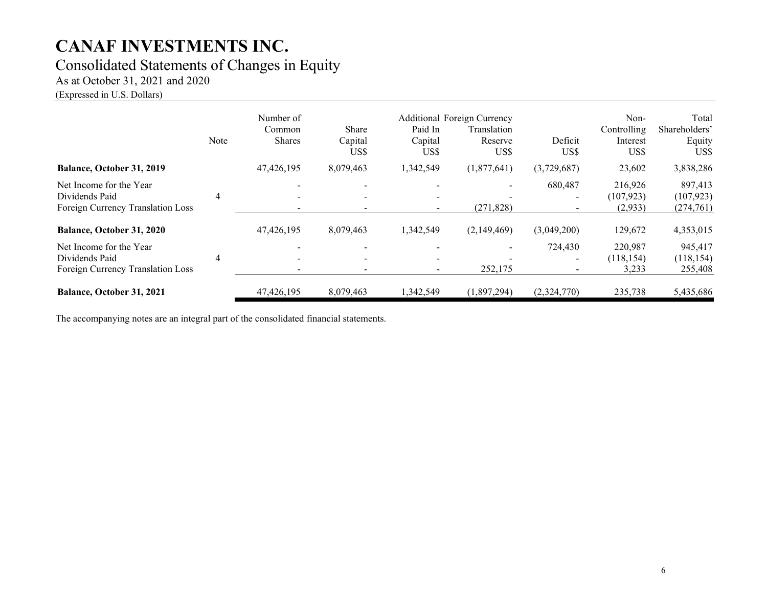## Consolidated Statements of Changes in Equity

As at October 31, 2021 and 2020

(Expressed in U.S. Dollars)

|                                                                                | Note           | Number of<br>Common<br><b>Shares</b> | Share<br>Capital<br>US\$                             | Paid In<br>Capital<br>US\$         | <b>Additional Foreign Currency</b><br>Translation<br>Reserve<br>US\$ | Deficit<br>US\$ | Non-<br>Controlling<br>Interest<br>US\$ | Total<br>Shareholders'<br>Equity<br>US\$ |
|--------------------------------------------------------------------------------|----------------|--------------------------------------|------------------------------------------------------|------------------------------------|----------------------------------------------------------------------|-----------------|-----------------------------------------|------------------------------------------|
| Balance, October 31, 2019                                                      |                | 47,426,195                           | 8,079,463                                            | 1,342,549                          | (1,877,641)                                                          | (3,729,687)     | 23,602                                  | 3,838,286                                |
| Net Income for the Year<br>Dividends Paid<br>Foreign Currency Translation Loss | $\overline{4}$ |                                      | $\overline{\phantom{0}}$<br>$\overline{\phantom{0}}$ | $\overline{\phantom{a}}$<br>$\sim$ | (271, 828)                                                           | 680,487         | 216,926<br>(107, 923)<br>(2,933)        | 897,413<br>(107, 923)<br>(274, 761)      |
| Balance, October 31, 2020                                                      |                | 47,426,195                           | 8,079,463                                            | 1,342,549                          | (2,149,469)                                                          | (3,049,200)     | 129,672                                 | 4,353,015                                |
| Net Income for the Year<br>Dividends Paid<br>Foreign Currency Translation Loss | $\overline{4}$ |                                      | $\overline{\phantom{0}}$                             | $\sim$                             | 252,175                                                              | 724,430         | 220,987<br>(118, 154)<br>3,233          | 945,417<br>(118, 154)<br>255,408         |
| Balance, October 31, 2021                                                      |                | 47,426,195                           | 8,079,463                                            | 1,342,549                          | (1,897,294)                                                          | (2,324,770)     | 235,738                                 | 5,435,686                                |

The accompanying notes are an integral part of the consolidated financial statements.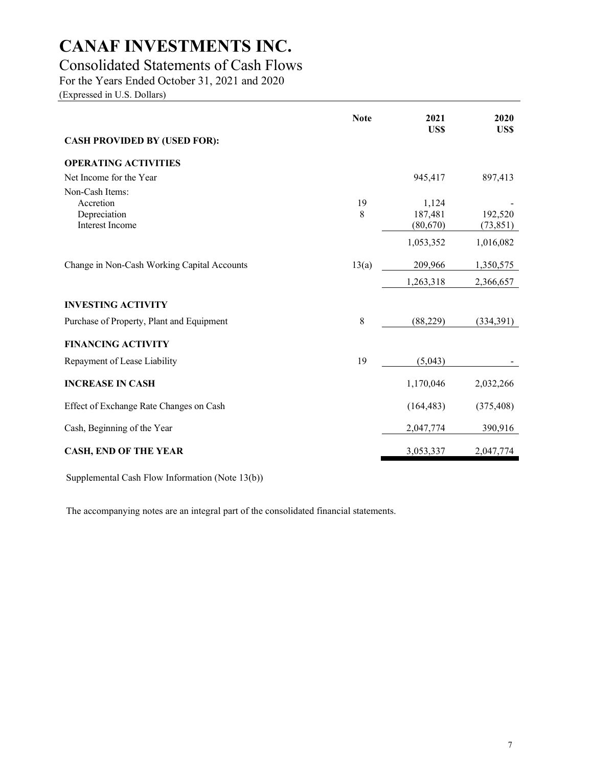### Consolidated Statements of Cash Flows

For the Years Ended October 31, 2021 and 2020

(Expressed in U.S. Dollars)

|                                             | <b>Note</b> | 2021<br>US\$ | 2020<br>US\$ |
|---------------------------------------------|-------------|--------------|--------------|
| <b>CASH PROVIDED BY (USED FOR):</b>         |             |              |              |
| <b>OPERATING ACTIVITIES</b>                 |             |              |              |
| Net Income for the Year                     |             | 945,417      | 897,413      |
| Non-Cash Items:                             |             |              |              |
| Accretion                                   | 19          | 1,124        |              |
| Depreciation                                | 8           | 187,481      | 192,520      |
| Interest Income                             |             | (80,670)     | (73, 851)    |
|                                             |             | 1,053,352    | 1,016,082    |
| Change in Non-Cash Working Capital Accounts | 13(a)       | 209,966      | 1,350,575    |
|                                             |             | 1,263,318    | 2,366,657    |
| <b>INVESTING ACTIVITY</b>                   |             |              |              |
| Purchase of Property, Plant and Equipment   | 8           | (88, 229)    | (334,391)    |
| <b>FINANCING ACTIVITY</b>                   |             |              |              |
| Repayment of Lease Liability                | 19          | (5,043)      |              |
| <b>INCREASE IN CASH</b>                     |             | 1,170,046    | 2,032,266    |
| Effect of Exchange Rate Changes on Cash     |             | (164, 483)   | (375, 408)   |
| Cash, Beginning of the Year                 |             | 2,047,774    | 390,916      |
| <b>CASH, END OF THE YEAR</b>                |             | 3,053,337    | 2,047,774    |

Supplemental Cash Flow Information (Note 13(b))

The accompanying notes are an integral part of the consolidated financial statements.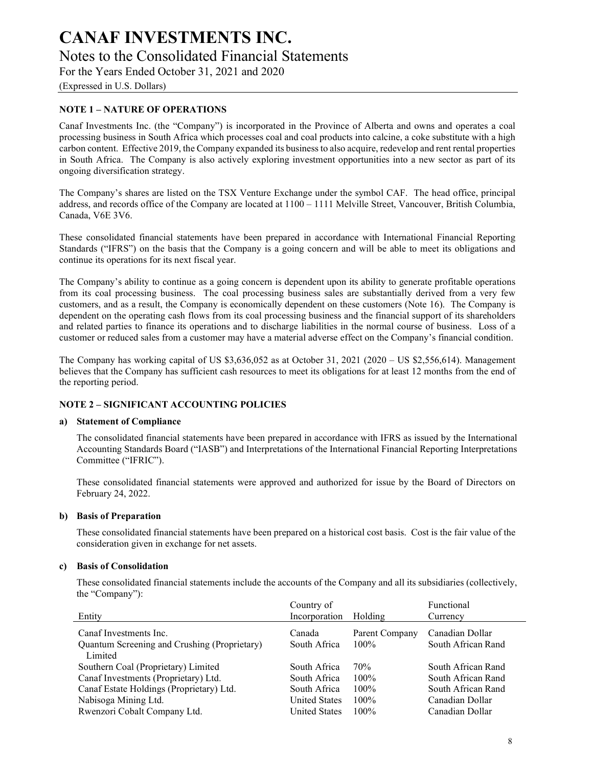## CANAF INVESTMENTS INC. Notes to the Consolidated Financial Statements

For the Years Ended October 31, 2021 and 2020

(Expressed in U.S. Dollars)

#### NOTE 1 – NATURE OF OPERATIONS

Canaf Investments Inc. (the "Company") is incorporated in the Province of Alberta and owns and operates a coal processing business in South Africa which processes coal and coal products into calcine, a coke substitute with a high carbon content. Effective 2019, the Company expanded its business to also acquire, redevelop and rent rental properties in South Africa. The Company is also actively exploring investment opportunities into a new sector as part of its ongoing diversification strategy.

The Company's shares are listed on the TSX Venture Exchange under the symbol CAF. The head office, principal address, and records office of the Company are located at 1100 – 1111 Melville Street, Vancouver, British Columbia, Canada, V6E 3V6.

These consolidated financial statements have been prepared in accordance with International Financial Reporting Standards ("IFRS") on the basis that the Company is a going concern and will be able to meet its obligations and continue its operations for its next fiscal year.

The Company's ability to continue as a going concern is dependent upon its ability to generate profitable operations from its coal processing business. The coal processing business sales are substantially derived from a very few customers, and as a result, the Company is economically dependent on these customers (Note 16). The Company is dependent on the operating cash flows from its coal processing business and the financial support of its shareholders and related parties to finance its operations and to discharge liabilities in the normal course of business. Loss of a customer or reduced sales from a customer may have a material adverse effect on the Company's financial condition.

The Company has working capital of US  $$3,636,052$  as at October 31, 2021 (2020 – US  $$2,556,614$ ). Management believes that the Company has sufficient cash resources to meet its obligations for at least 12 months from the end of the reporting period.

#### NOTE 2 – SIGNIFICANT ACCOUNTING POLICIES

#### a) Statement of Compliance

The consolidated financial statements have been prepared in accordance with IFRS as issued by the International Accounting Standards Board ("IASB") and Interpretations of the International Financial Reporting Interpretations Committee ("IFRIC").

These consolidated financial statements were approved and authorized for issue by the Board of Directors on February 24, 2022.

#### b) Basis of Preparation

These consolidated financial statements have been prepared on a historical cost basis. Cost is the fair value of the consideration given in exchange for net assets.

#### c) Basis of Consolidation

These consolidated financial statements include the accounts of the Company and all its subsidiaries (collectively, the "Company"):

| Entity                                       | Country of<br>Incorporation | Holding        | Functional<br>Currency |
|----------------------------------------------|-----------------------------|----------------|------------------------|
|                                              |                             |                |                        |
| Canaf Investments Inc.                       | Canada                      | Parent Company | Canadian Dollar        |
| Quantum Screening and Crushing (Proprietary) | South Africa                | $100\%$        | South African Rand     |
| Limited                                      |                             |                |                        |
| Southern Coal (Proprietary) Limited          | South Africa                | 70%            | South African Rand     |
| Canaf Investments (Proprietary) Ltd.         | South Africa                | $100\%$        | South African Rand     |
| Canaf Estate Holdings (Proprietary) Ltd.     | South Africa                | $100\%$        | South African Rand     |
| Nabisoga Mining Ltd.                         | <b>United States</b>        | $100\%$        | Canadian Dollar        |
| Rwenzori Cobalt Company Ltd.                 | <b>United States</b>        | $100\%$        | Canadian Dollar        |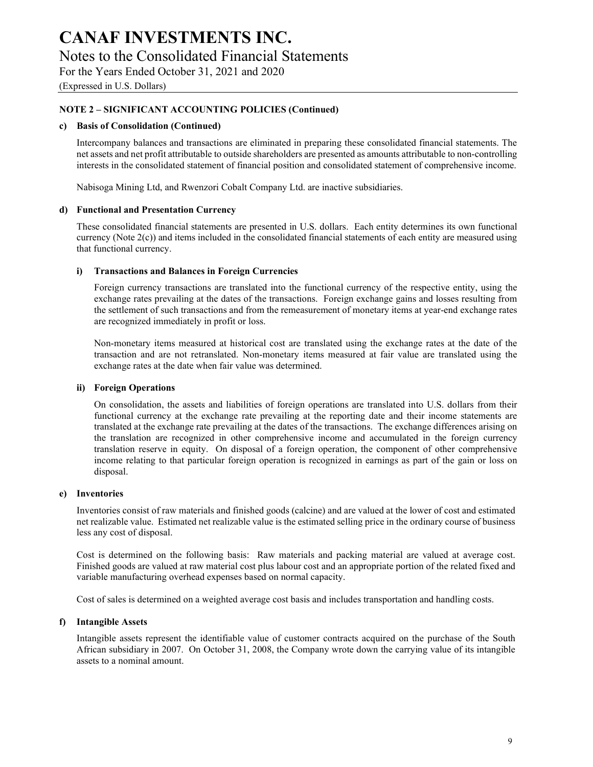## CANAF INVESTMENTS INC. Notes to the Consolidated Financial Statements

For the Years Ended October 31, 2021 and 2020

(Expressed in U.S. Dollars)

#### NOTE 2 – SIGNIFICANT ACCOUNTING POLICIES (Continued)

#### c) Basis of Consolidation (Continued)

Intercompany balances and transactions are eliminated in preparing these consolidated financial statements. The net assets and net profit attributable to outside shareholders are presented as amounts attributable to non-controlling interests in the consolidated statement of financial position and consolidated statement of comprehensive income.

Nabisoga Mining Ltd, and Rwenzori Cobalt Company Ltd. are inactive subsidiaries.

#### d) Functional and Presentation Currency

These consolidated financial statements are presented in U.S. dollars. Each entity determines its own functional currency (Note 2(c)) and items included in the consolidated financial statements of each entity are measured using that functional currency.

#### i) Transactions and Balances in Foreign Currencies

Foreign currency transactions are translated into the functional currency of the respective entity, using the exchange rates prevailing at the dates of the transactions. Foreign exchange gains and losses resulting from the settlement of such transactions and from the remeasurement of monetary items at year-end exchange rates are recognized immediately in profit or loss.

Non-monetary items measured at historical cost are translated using the exchange rates at the date of the transaction and are not retranslated. Non-monetary items measured at fair value are translated using the exchange rates at the date when fair value was determined.

#### ii) Foreign Operations

On consolidation, the assets and liabilities of foreign operations are translated into U.S. dollars from their functional currency at the exchange rate prevailing at the reporting date and their income statements are translated at the exchange rate prevailing at the dates of the transactions. The exchange differences arising on the translation are recognized in other comprehensive income and accumulated in the foreign currency translation reserve in equity. On disposal of a foreign operation, the component of other comprehensive income relating to that particular foreign operation is recognized in earnings as part of the gain or loss on disposal.

#### e) Inventories

Inventories consist of raw materials and finished goods (calcine) and are valued at the lower of cost and estimated net realizable value. Estimated net realizable value is the estimated selling price in the ordinary course of business less any cost of disposal.

Cost is determined on the following basis: Raw materials and packing material are valued at average cost. Finished goods are valued at raw material cost plus labour cost and an appropriate portion of the related fixed and variable manufacturing overhead expenses based on normal capacity.

Cost of sales is determined on a weighted average cost basis and includes transportation and handling costs.

#### f) Intangible Assets

Intangible assets represent the identifiable value of customer contracts acquired on the purchase of the South African subsidiary in 2007. On October 31, 2008, the Company wrote down the carrying value of its intangible assets to a nominal amount.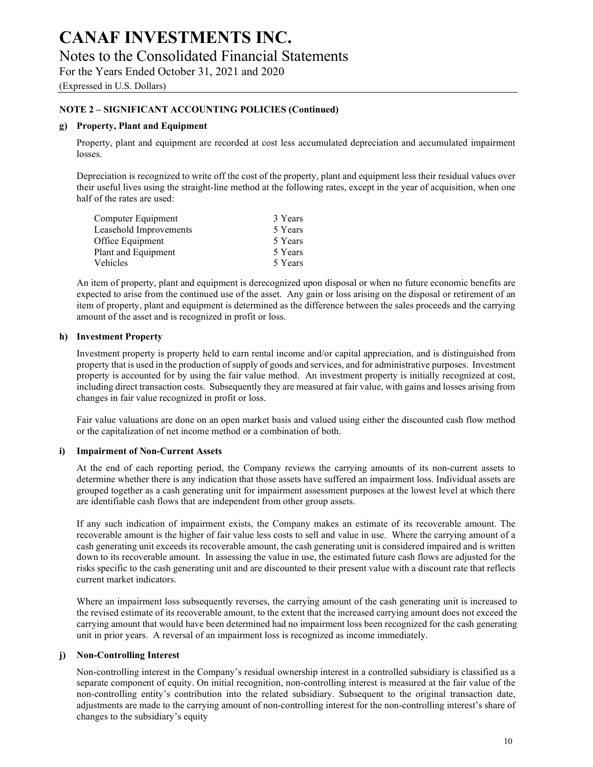### Notes to the Consolidated Financial Statements

For the Years Ended October 31, 2021 and 2020

(Expressed in U.S. Dollars)

#### NOTE 2 – SIGNIFICANT ACCOUNTING POLICIES (Continued)

#### g) Property, Plant and Equipment

Property, plant and equipment are recorded at cost less accumulated depreciation and accumulated impairment losses.

Depreciation is recognized to write off the cost of the property, plant and equipment less their residual values over their useful lives using the straight-line method at the following rates, except in the year of acquisition, when one half of the rates are used:

| Computer Equipment     | 3 Years |
|------------------------|---------|
| Leasehold Improvements | 5 Years |
| Office Equipment       | 5 Years |
| Plant and Equipment    | 5 Years |
| <b>Vehicles</b>        | 5 Years |

An item of property, plant and equipment is derecognized upon disposal or when no future economic benefits are expected to arise from the continued use of the asset. Any gain or loss arising on the disposal or retirement of an item of property, plant and equipment is determined as the difference between the sales proceeds and the carrying amount of the asset and is recognized in profit or loss.

#### h) Investment Property

Investment property is property held to earn rental income and/or capital appreciation, and is distinguished from property that is used in the production of supply of goods and services, and for administrative purposes. Investment property is accounted for by using the fair value method. An investment property is initially recognized at cost, including direct transaction costs. Subsequently they are measured at fair value, with gains and losses arising from changes in fair value recognized in profit or loss.

Fair value valuations are done on an open market basis and valued using either the discounted cash flow method or the capitalization of net income method or a combination of both.

#### i) Impairment of Non-Current Assets

At the end of each reporting period, the Company reviews the carrying amounts of its non-current assets to determine whether there is any indication that those assets have suffered an impairment loss. Individual assets are grouped together as a cash generating unit for impairment assessment purposes at the lowest level at which there are identifiable cash flows that are independent from other group assets.

If any such indication of impairment exists, the Company makes an estimate of its recoverable amount. The recoverable amount is the higher of fair value less costs to sell and value in use. Where the carrying amount of a cash generating unit exceeds its recoverable amount, the cash generating unit is considered impaired and is written down to its recoverable amount. In assessing the value in use, the estimated future cash flows are adjusted for the risks specific to the cash generating unit and are discounted to their present value with a discount rate that reflects current market indicators.

Where an impairment loss subsequently reverses, the carrying amount of the cash generating unit is increased to the revised estimate of its recoverable amount, to the extent that the increased carrying amount does not exceed the carrying amount that would have been determined had no impairment loss been recognized for the cash generating unit in prior years. A reversal of an impairment loss is recognized as income immediately.

#### j) Non-Controlling Interest

Non-controlling interest in the Company's residual ownership interest in a controlled subsidiary is classified as a separate component of equity. On initial recognition, non-controlling interest is measured at the fair value of the non-controlling entity's contribution into the related subsidiary. Subsequent to the original transaction date, adjustments are made to the carrying amount of non-controlling interest for the non-controlling interest's share of changes to the subsidiary's equity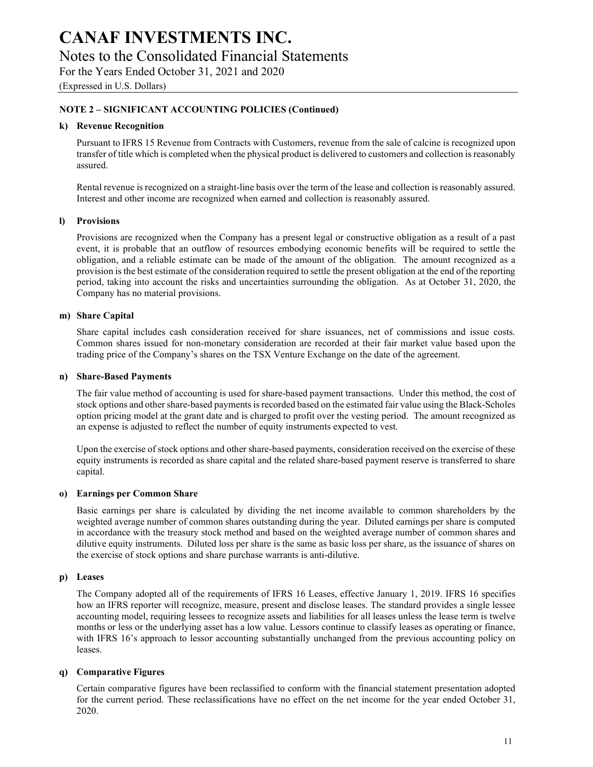### CANAF INVESTMENTS INC. Notes to the Consolidated Financial Statements

For the Years Ended October 31, 2021 and 2020

(Expressed in U.S. Dollars)

#### NOTE 2 – SIGNIFICANT ACCOUNTING POLICIES (Continued)

#### k) Revenue Recognition

Pursuant to IFRS 15 Revenue from Contracts with Customers, revenue from the sale of calcine is recognized upon transfer of title which is completed when the physical product is delivered to customers and collection is reasonably assured.

Rental revenue is recognized on a straight-line basis over the term of the lease and collection is reasonably assured. Interest and other income are recognized when earned and collection is reasonably assured.

#### l) Provisions

Provisions are recognized when the Company has a present legal or constructive obligation as a result of a past event, it is probable that an outflow of resources embodying economic benefits will be required to settle the obligation, and a reliable estimate can be made of the amount of the obligation. The amount recognized as a provision is the best estimate of the consideration required to settle the present obligation at the end of the reporting period, taking into account the risks and uncertainties surrounding the obligation. As at October 31, 2020, the Company has no material provisions.

#### m) Share Capital

Share capital includes cash consideration received for share issuances, net of commissions and issue costs. Common shares issued for non-monetary consideration are recorded at their fair market value based upon the trading price of the Company's shares on the TSX Venture Exchange on the date of the agreement.

#### n) Share-Based Payments

The fair value method of accounting is used for share-based payment transactions. Under this method, the cost of stock options and other share-based payments is recorded based on the estimated fair value using the Black-Scholes option pricing model at the grant date and is charged to profit over the vesting period. The amount recognized as an expense is adjusted to reflect the number of equity instruments expected to vest.

Upon the exercise of stock options and other share-based payments, consideration received on the exercise of these equity instruments is recorded as share capital and the related share-based payment reserve is transferred to share capital.

#### o) Earnings per Common Share

Basic earnings per share is calculated by dividing the net income available to common shareholders by the weighted average number of common shares outstanding during the year. Diluted earnings per share is computed in accordance with the treasury stock method and based on the weighted average number of common shares and dilutive equity instruments. Diluted loss per share is the same as basic loss per share, as the issuance of shares on the exercise of stock options and share purchase warrants is anti-dilutive.

#### p) Leases

The Company adopted all of the requirements of IFRS 16 Leases, effective January 1, 2019. IFRS 16 specifies how an IFRS reporter will recognize, measure, present and disclose leases. The standard provides a single lessee accounting model, requiring lessees to recognize assets and liabilities for all leases unless the lease term is twelve months or less or the underlying asset has a low value. Lessors continue to classify leases as operating or finance, with IFRS 16's approach to lessor accounting substantially unchanged from the previous accounting policy on leases.

#### q) Comparative Figures

Certain comparative figures have been reclassified to conform with the financial statement presentation adopted for the current period. These reclassifications have no effect on the net income for the year ended October 31, 2020.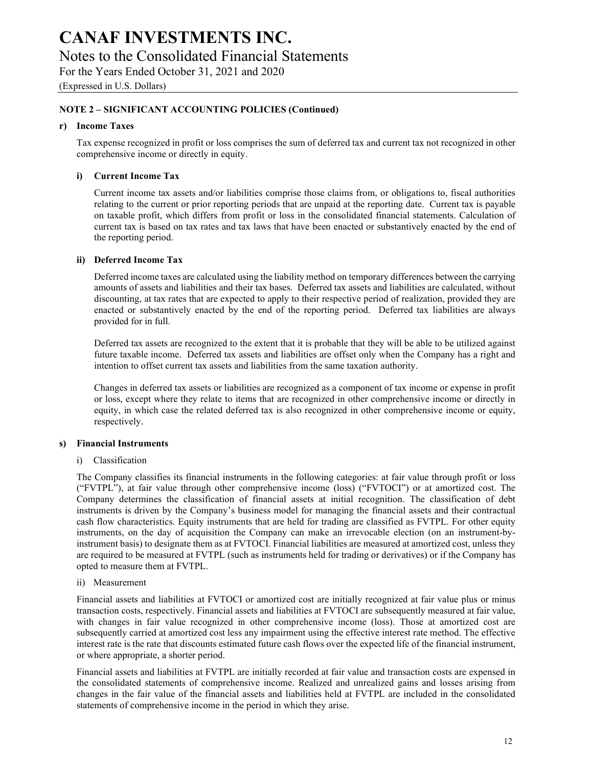### Notes to the Consolidated Financial Statements

For the Years Ended October 31, 2021 and 2020

(Expressed in U.S. Dollars)

#### NOTE 2 – SIGNIFICANT ACCOUNTING POLICIES (Continued)

#### r) Income Taxes

Tax expense recognized in profit or loss comprises the sum of deferred tax and current tax not recognized in other comprehensive income or directly in equity.

#### i) Current Income Tax

Current income tax assets and/or liabilities comprise those claims from, or obligations to, fiscal authorities relating to the current or prior reporting periods that are unpaid at the reporting date. Current tax is payable on taxable profit, which differs from profit or loss in the consolidated financial statements. Calculation of current tax is based on tax rates and tax laws that have been enacted or substantively enacted by the end of the reporting period.

#### ii) Deferred Income Tax

Deferred income taxes are calculated using the liability method on temporary differences between the carrying amounts of assets and liabilities and their tax bases. Deferred tax assets and liabilities are calculated, without discounting, at tax rates that are expected to apply to their respective period of realization, provided they are enacted or substantively enacted by the end of the reporting period. Deferred tax liabilities are always provided for in full.

Deferred tax assets are recognized to the extent that it is probable that they will be able to be utilized against future taxable income. Deferred tax assets and liabilities are offset only when the Company has a right and intention to offset current tax assets and liabilities from the same taxation authority.

Changes in deferred tax assets or liabilities are recognized as a component of tax income or expense in profit or loss, except where they relate to items that are recognized in other comprehensive income or directly in equity, in which case the related deferred tax is also recognized in other comprehensive income or equity, respectively.

#### s) Financial Instruments

#### i) Classification

The Company classifies its financial instruments in the following categories: at fair value through profit or loss ("FVTPL"), at fair value through other comprehensive income (loss) ("FVTOCI") or at amortized cost. The Company determines the classification of financial assets at initial recognition. The classification of debt instruments is driven by the Company's business model for managing the financial assets and their contractual cash flow characteristics. Equity instruments that are held for trading are classified as FVTPL. For other equity instruments, on the day of acquisition the Company can make an irrevocable election (on an instrument-byinstrument basis) to designate them as at FVTOCI. Financial liabilities are measured at amortized cost, unless they are required to be measured at FVTPL (such as instruments held for trading or derivatives) or if the Company has opted to measure them at FVTPL.

#### ii) Measurement

Financial assets and liabilities at FVTOCI or amortized cost are initially recognized at fair value plus or minus transaction costs, respectively. Financial assets and liabilities at FVTOCI are subsequently measured at fair value, with changes in fair value recognized in other comprehensive income (loss). Those at amortized cost are subsequently carried at amortized cost less any impairment using the effective interest rate method. The effective interest rate is the rate that discounts estimated future cash flows over the expected life of the financial instrument, or where appropriate, a shorter period.

Financial assets and liabilities at FVTPL are initially recorded at fair value and transaction costs are expensed in the consolidated statements of comprehensive income. Realized and unrealized gains and losses arising from changes in the fair value of the financial assets and liabilities held at FVTPL are included in the consolidated statements of comprehensive income in the period in which they arise.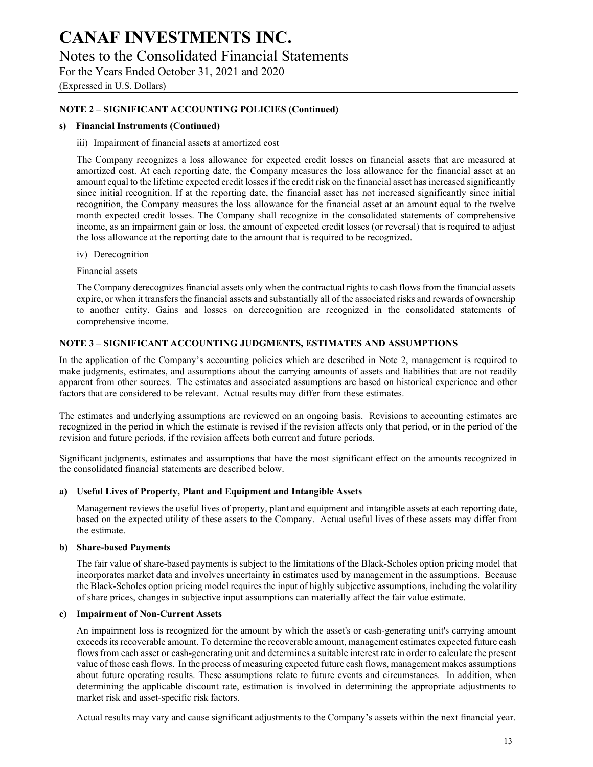## CANAF INVESTMENTS INC. Notes to the Consolidated Financial Statements

For the Years Ended October 31, 2021 and 2020

(Expressed in U.S. Dollars)

#### NOTE 2 – SIGNIFICANT ACCOUNTING POLICIES (Continued)

#### s) Financial Instruments (Continued)

#### iii) Impairment of financial assets at amortized cost

The Company recognizes a loss allowance for expected credit losses on financial assets that are measured at amortized cost. At each reporting date, the Company measures the loss allowance for the financial asset at an amount equal to the lifetime expected credit losses if the credit risk on the financial asset has increased significantly since initial recognition. If at the reporting date, the financial asset has not increased significantly since initial recognition, the Company measures the loss allowance for the financial asset at an amount equal to the twelve month expected credit losses. The Company shall recognize in the consolidated statements of comprehensive income, as an impairment gain or loss, the amount of expected credit losses (or reversal) that is required to adjust the loss allowance at the reporting date to the amount that is required to be recognized.

iv) Derecognition

Financial assets

The Company derecognizes financial assets only when the contractual rights to cash flows from the financial assets expire, or when it transfers the financial assets and substantially all of the associated risks and rewards of ownership to another entity. Gains and losses on derecognition are recognized in the consolidated statements of comprehensive income.

#### NOTE 3 – SIGNIFICANT ACCOUNTING JUDGMENTS, ESTIMATES AND ASSUMPTIONS

In the application of the Company's accounting policies which are described in Note 2, management is required to make judgments, estimates, and assumptions about the carrying amounts of assets and liabilities that are not readily apparent from other sources. The estimates and associated assumptions are based on historical experience and other factors that are considered to be relevant. Actual results may differ from these estimates.

The estimates and underlying assumptions are reviewed on an ongoing basis. Revisions to accounting estimates are recognized in the period in which the estimate is revised if the revision affects only that period, or in the period of the revision and future periods, if the revision affects both current and future periods.

Significant judgments, estimates and assumptions that have the most significant effect on the amounts recognized in the consolidated financial statements are described below.

#### a) Useful Lives of Property, Plant and Equipment and Intangible Assets

Management reviews the useful lives of property, plant and equipment and intangible assets at each reporting date, based on the expected utility of these assets to the Company. Actual useful lives of these assets may differ from the estimate.

#### b) Share-based Payments

The fair value of share-based payments is subject to the limitations of the Black-Scholes option pricing model that incorporates market data and involves uncertainty in estimates used by management in the assumptions. Because the Black-Scholes option pricing model requires the input of highly subjective assumptions, including the volatility of share prices, changes in subjective input assumptions can materially affect the fair value estimate.

#### c) Impairment of Non-Current Assets

An impairment loss is recognized for the amount by which the asset's or cash-generating unit's carrying amount exceeds its recoverable amount. To determine the recoverable amount, management estimates expected future cash flows from each asset or cash-generating unit and determines a suitable interest rate in order to calculate the present value of those cash flows. In the process of measuring expected future cash flows, management makes assumptions about future operating results. These assumptions relate to future events and circumstances. In addition, when determining the applicable discount rate, estimation is involved in determining the appropriate adjustments to market risk and asset-specific risk factors.

Actual results may vary and cause significant adjustments to the Company's assets within the next financial year.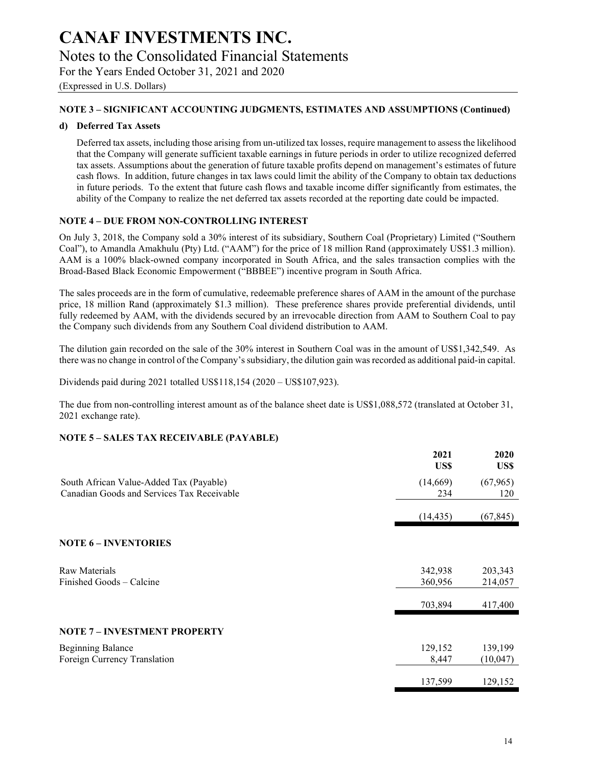### Notes to the Consolidated Financial Statements

For the Years Ended October 31, 2021 and 2020

(Expressed in U.S. Dollars)

#### NOTE 3 – SIGNIFICANT ACCOUNTING JUDGMENTS, ESTIMATES AND ASSUMPTIONS (Continued)

#### d) Deferred Tax Assets

Deferred tax assets, including those arising from un-utilized tax losses, require management to assess the likelihood that the Company will generate sufficient taxable earnings in future periods in order to utilize recognized deferred tax assets. Assumptions about the generation of future taxable profits depend on management's estimates of future cash flows. In addition, future changes in tax laws could limit the ability of the Company to obtain tax deductions in future periods. To the extent that future cash flows and taxable income differ significantly from estimates, the ability of the Company to realize the net deferred tax assets recorded at the reporting date could be impacted.

#### NOTE 4 – DUE FROM NON-CONTROLLING INTEREST

On July 3, 2018, the Company sold a 30% interest of its subsidiary, Southern Coal (Proprietary) Limited ("Southern Coal"), to Amandla Amakhulu (Pty) Ltd. ("AAM") for the price of 18 million Rand (approximately US\$1.3 million). AAM is a 100% black-owned company incorporated in South Africa, and the sales transaction complies with the Broad-Based Black Economic Empowerment ("BBBEE") incentive program in South Africa.

The sales proceeds are in the form of cumulative, redeemable preference shares of AAM in the amount of the purchase price, 18 million Rand (approximately \$1.3 million). These preference shares provide preferential dividends, until fully redeemed by AAM, with the dividends secured by an irrevocable direction from AAM to Southern Coal to pay the Company such dividends from any Southern Coal dividend distribution to AAM.

The dilution gain recorded on the sale of the 30% interest in Southern Coal was in the amount of US\$1,342,549. As there was no change in control of the Company's subsidiary, the dilution gain was recorded as additional paid-in capital.

Dividends paid during 2021 totalled US\$118,154 (2020 – US\$107,923).

The due from non-controlling interest amount as of the balance sheet date is US\$1,088,572 (translated at October 31, 2021 exchange rate).

#### NOTE 5 – SALES TAX RECEIVABLE (PAYABLE)

|                                                                                       | 2021<br>US\$       | 2020<br>US\$        |
|---------------------------------------------------------------------------------------|--------------------|---------------------|
| South African Value-Added Tax (Payable)<br>Canadian Goods and Services Tax Receivable | (14, 669)<br>234   | (67, 965)<br>120    |
|                                                                                       | (14, 435)          | (67, 845)           |
| <b>NOTE 6 - INVENTORIES</b>                                                           |                    |                     |
| Raw Materials<br>Finished Goods – Calcine                                             | 342,938<br>360,956 | 203,343<br>214,057  |
|                                                                                       | 703,894            | 417,400             |
| <b>NOTE 7 - INVESTMENT PROPERTY</b>                                                   |                    |                     |
| <b>Beginning Balance</b><br>Foreign Currency Translation                              | 129,152<br>8,447   | 139,199<br>(10,047) |
|                                                                                       | 137,599            | 129,152             |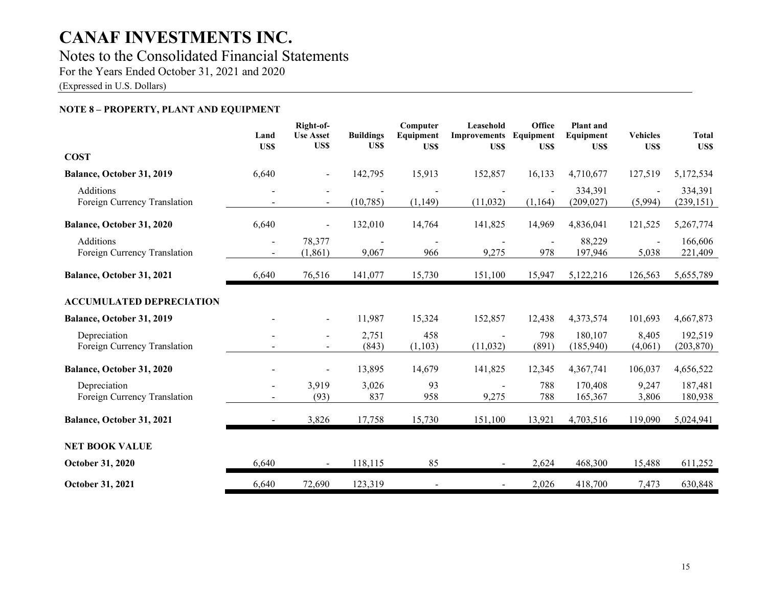## Notes to the Consolidated Financial Statements

For the Years Ended October 31, 2021 and 2020

(Expressed in U.S. Dollars)

#### NOTE 8 – PROPERTY, PLANT AND EQUIPMENT

|                                                  | Land<br>US\$   | Right-of-<br><b>Use Asset</b><br>US\$      | <b>Buildings</b><br>US\$ | Computer<br>Equipment<br>US\$ | Leasehold<br><b>Improvements</b><br>US\$ | Office<br>Equipment<br>US\$ | <b>Plant</b> and<br>Equipment<br>US\$ | <b>Vehicles</b><br>US\$ | <b>Total</b><br>US\$  |
|--------------------------------------------------|----------------|--------------------------------------------|--------------------------|-------------------------------|------------------------------------------|-----------------------------|---------------------------------------|-------------------------|-----------------------|
| <b>COST</b>                                      |                |                                            |                          |                               |                                          |                             |                                       |                         |                       |
| Balance, October 31, 2019                        | 6,640          |                                            | 142,795                  | 15,913                        | 152,857                                  | 16,133                      | 4,710,677                             | 127,519                 | 5,172,534             |
| <b>Additions</b><br>Foreign Currency Translation |                | $\blacksquare$                             | (10, 785)                | (1, 149)                      | (11,032)                                 | (1,164)                     | 334,391<br>(209, 027)                 | (5,994)                 | 334,391<br>(239, 151) |
| Balance, October 31, 2020                        | 6,640          | $\blacksquare$                             | 132,010                  | 14,764                        | 141,825                                  | 14,969                      | 4,836,041                             | 121,525                 | 5,267,774             |
| Additions<br>Foreign Currency Translation        | $\blacksquare$ | 78,377<br>(1, 861)                         | 9,067                    | 966                           | 9,275                                    | 978                         | 88,229<br>197,946                     | 5,038                   | 166,606<br>221,409    |
| Balance, October 31, 2021                        | 6,640          | 76,516                                     | 141,077                  | 15,730                        | 151,100                                  | 15,947                      | 5,122,216                             | 126,563                 | 5,655,789             |
| <b>ACCUMULATED DEPRECIATION</b>                  |                |                                            |                          |                               |                                          |                             |                                       |                         |                       |
| Balance, October 31, 2019                        |                | $\blacksquare$                             | 11,987                   | 15,324                        | 152,857                                  | 12,438                      | 4,373,574                             | 101,693                 | 4,667,873             |
| Depreciation<br>Foreign Currency Translation     |                | $\overline{a}$<br>$\overline{\phantom{a}}$ | 2,751<br>(843)           | 458<br>(1,103)                | (11,032)                                 | 798<br>(891)                | 180,107<br>(185,940)                  | 8,405<br>(4,061)        | 192,519<br>(203, 870) |
| Balance, October 31, 2020                        |                |                                            | 13,895                   | 14,679                        | 141,825                                  | 12,345                      | 4,367,741                             | 106,037                 | 4,656,522             |
| Depreciation<br>Foreign Currency Translation     |                | 3,919<br>(93)                              | 3,026<br>837             | 93<br>958                     | 9,275                                    | 788<br>788                  | 170,408<br>165,367                    | 9,247<br>3,806          | 187,481<br>180,938    |
| Balance, October 31, 2021                        | $\sim$         | 3,826                                      | 17,758                   | 15,730                        | 151,100                                  | 13,921                      | 4,703,516                             | 119,090                 | 5,024,941             |
| <b>NET BOOK VALUE</b>                            |                |                                            |                          |                               |                                          |                             |                                       |                         |                       |
| <b>October 31, 2020</b>                          | 6,640          |                                            | 118,115                  | 85                            |                                          | 2,624                       | 468,300                               | 15,488                  | 611,252               |
| October 31, 2021                                 | 6,640          | 72,690                                     | 123,319                  |                               |                                          | 2,026                       | 418,700                               | 7,473                   | 630,848               |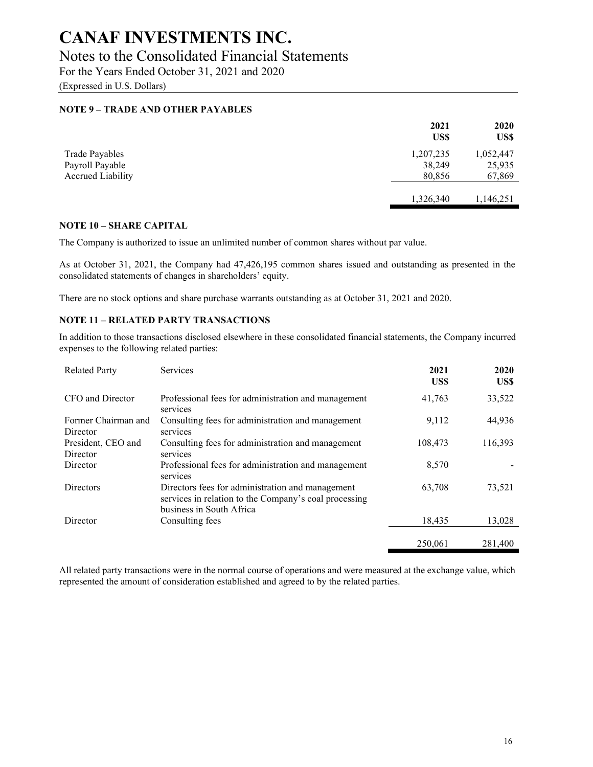### Notes to the Consolidated Financial Statements

For the Years Ended October 31, 2021 and 2020

(Expressed in U.S. Dollars)

#### NOTE 9 – TRADE AND OTHER PAYABLES

|                          | 2021<br>US\$ | 2020<br>US\$ |
|--------------------------|--------------|--------------|
| <b>Trade Payables</b>    | 1,207,235    | 1,052,447    |
| Payroll Payable          | 38,249       | 25,935       |
| <b>Accrued Liability</b> | 80,856       | 67,869       |
|                          | 1,326,340    | 1,146,251    |

#### NOTE 10 – SHARE CAPITAL

The Company is authorized to issue an unlimited number of common shares without par value.

As at October 31, 2021, the Company had 47,426,195 common shares issued and outstanding as presented in the consolidated statements of changes in shareholders' equity.

There are no stock options and share purchase warrants outstanding as at October 31, 2021 and 2020.

#### NOTE 11 – RELATED PARTY TRANSACTIONS

In addition to those transactions disclosed elsewhere in these consolidated financial statements, the Company incurred expenses to the following related parties:

| <b>Related Party</b>            | Services                                                                                                                              | 2021<br>US\$ | 2020<br>US\$ |
|---------------------------------|---------------------------------------------------------------------------------------------------------------------------------------|--------------|--------------|
| CFO and Director                | Professional fees for administration and management<br>services                                                                       | 41,763       | 33,522       |
| Former Chairman and<br>Director | Consulting fees for administration and management<br>services                                                                         | 9,112        | 44,936       |
| President, CEO and<br>Director  | Consulting fees for administration and management<br>services                                                                         | 108,473      | 116,393      |
| Director                        | Professional fees for administration and management<br>services                                                                       | 8,570        |              |
| <b>Directors</b>                | Directors fees for administration and management<br>services in relation to the Company's coal processing<br>business in South Africa | 63,708       | 73,521       |
| Director                        | Consulting fees                                                                                                                       | 18,435       | 13.028       |
|                                 |                                                                                                                                       | 250,061      | 281,400      |

All related party transactions were in the normal course of operations and were measured at the exchange value, which represented the amount of consideration established and agreed to by the related parties.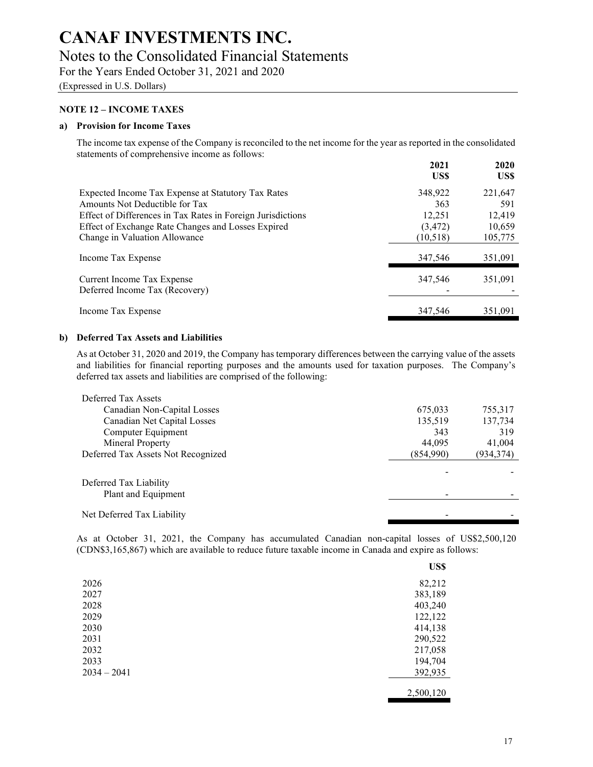### Notes to the Consolidated Financial Statements

For the Years Ended October 31, 2021 and 2020

(Expressed in U.S. Dollars)

#### NOTE 12 – INCOME TAXES

#### a) Provision for Income Taxes

The income tax expense of the Company is reconciled to the net income for the year as reported in the consolidated statements of comprehensive income as follows:

|                                                             | 2021<br>US\$ | 2020<br>US\$ |
|-------------------------------------------------------------|--------------|--------------|
| Expected Income Tax Expense at Statutory Tax Rates          | 348,922      | 221,647      |
| Amounts Not Deductible for Tax                              | 363          | 591          |
| Effect of Differences in Tax Rates in Foreign Jurisdictions | 12,251       | 12,419       |
| Effect of Exchange Rate Changes and Losses Expired          | (3, 472)     | 10,659       |
| Change in Valuation Allowance                               | (10,518)     | 105,775      |
| Income Tax Expense                                          | 347.546      | 351.091      |
| Current Income Tax Expense                                  | 347.546      | 351.091      |
| Deferred Income Tax (Recovery)                              |              |              |
| Income Tax Expense                                          | 347.546      | 351.091      |

#### b) Deferred Tax Assets and Liabilities

As at October 31, 2020 and 2019, the Company has temporary differences between the carrying value of the assets and liabilities for financial reporting purposes and the amounts used for taxation purposes. The Company's deferred tax assets and liabilities are comprised of the following:

| Deferred Tax Assets                |           |            |
|------------------------------------|-----------|------------|
| Canadian Non-Capital Losses        | 675,033   | 755,317    |
| Canadian Net Capital Losses        | 135,519   | 137,734    |
| Computer Equipment                 | 343       | 319        |
| Mineral Property                   | 44,095    | 41,004     |
| Deferred Tax Assets Not Recognized | (854,990) | (934, 374) |
|                                    |           |            |
| Deferred Tax Liability             |           |            |
| Plant and Equipment                |           |            |
| Net Deferred Tax Liability         |           |            |

As at October 31, 2021, the Company has accumulated Canadian non-capital losses of US\$2,500,120 (CDN\$3,165,867) which are available to reduce future taxable income in Canada and expire as follows:

|               | US\$      |
|---------------|-----------|
| 2026          | 82,212    |
| 2027          | 383,189   |
| 2028          | 403,240   |
| 2029          | 122,122   |
| 2030          | 414,138   |
| 2031          | 290,522   |
| 2032          | 217,058   |
| 2033          | 194,704   |
| $2034 - 2041$ | 392,935   |
|               | 2,500,120 |

 $U$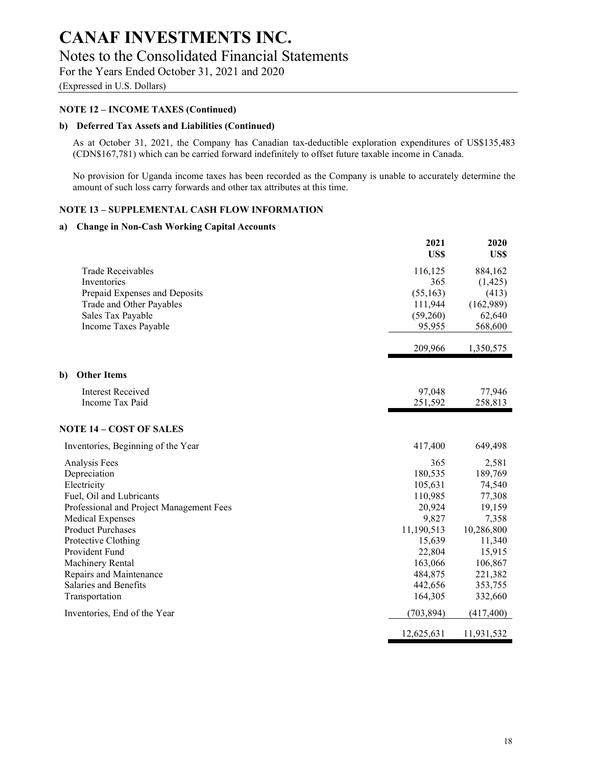### Notes to the Consolidated Financial Statements

For the Years Ended October 31, 2021 and 2020

(Expressed in U.S. Dollars)

#### NOTE 12 – INCOME TAXES (Continued)

#### b) Deferred Tax Assets and Liabilities (Continued)

As at October 31, 2021, the Company has Canadian tax-deductible exploration expenditures of US\$135,483 (CDN\$167,781) which can be carried forward indefinitely to offset future taxable income in Canada.

No provision for Uganda income taxes has been recorded as the Company is unable to accurately determine the amount of such loss carry forwards and other tax attributes at this time.

#### NOTE 13 – SUPPLEMENTAL CASH FLOW INFORMATION

#### a) Change in Non-Cash Working Capital Accounts

|                                          | 2021<br>US\$ | 2020<br>US\$ |
|------------------------------------------|--------------|--------------|
| <b>Trade Receivables</b>                 | 116,125      | 884,162      |
| Inventories                              | 365          | (1, 425)     |
| Prepaid Expenses and Deposits            | (55, 163)    | (413)        |
| Trade and Other Payables                 | 111,944      | (162,989)    |
| Sales Tax Payable                        | (59,260)     | 62,640       |
| Income Taxes Payable                     | 95,955       | 568,600      |
|                                          | 209,966      | 1,350,575    |
| b)<br><b>Other Items</b>                 |              |              |
| <b>Interest Received</b>                 | 97,048       | 77,946       |
| Income Tax Paid                          | 251,592      | 258,813      |
| <b>NOTE 14 – COST OF SALES</b>           |              |              |
| Inventories, Beginning of the Year       | 417,400      | 649,498      |
| Analysis Fees                            | 365          | 2,581        |
| Depreciation                             | 180,535      | 189,769      |
| Electricity                              | 105,631      | 74,540       |
| Fuel, Oil and Lubricants                 | 110,985      | 77,308       |
| Professional and Project Management Fees | 20,924       | 19,159       |
| <b>Medical Expenses</b>                  | 9,827        | 7,358        |
| <b>Product Purchases</b>                 | 11,190,513   | 10,286,800   |
| Protective Clothing                      | 15,639       | 11,340       |
| Provident Fund                           | 22,804       | 15,915       |
| Machinery Rental                         | 163,066      | 106,867      |
| Repairs and Maintenance                  | 484,875      | 221,382      |
| Salaries and Benefits                    | 442,656      | 353,755      |
| Transportation                           | 164,305      | 332,660      |
| Inventories, End of the Year             | (703, 894)   | (417, 400)   |
|                                          | 12,625,631   | 11,931,532   |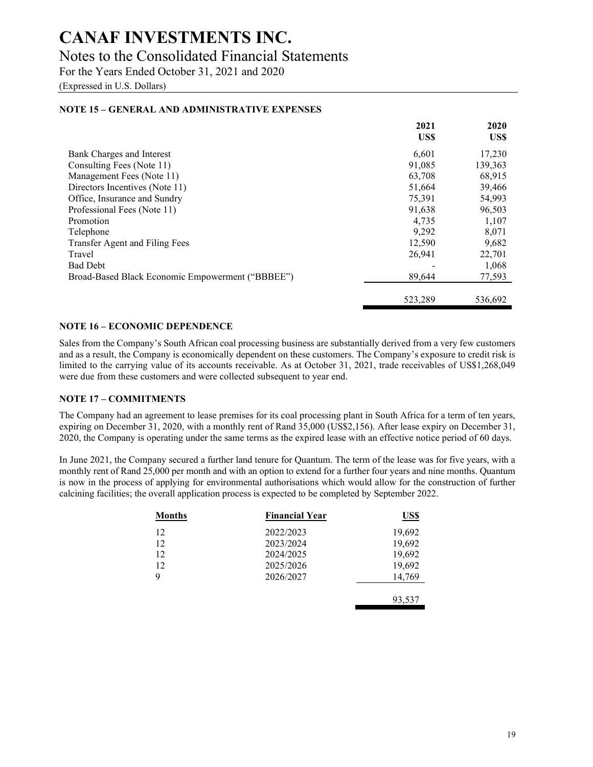### Notes to the Consolidated Financial Statements

For the Years Ended October 31, 2021 and 2020

(Expressed in U.S. Dollars)

#### NOTE 15 – GENERAL AND ADMINISTRATIVE EXPENSES

|                                                  | 2021<br>US\$ | 2020<br>US\$ |
|--------------------------------------------------|--------------|--------------|
| Bank Charges and Interest                        | 6,601        | 17,230       |
| Consulting Fees (Note 11)                        | 91,085       | 139,363      |
| Management Fees (Note 11)                        | 63,708       | 68,915       |
| Directors Incentives (Note 11)                   | 51,664       | 39,466       |
| Office, Insurance and Sundry                     | 75.391       | 54,993       |
| Professional Fees (Note 11)                      | 91,638       | 96,503       |
| Promotion                                        | 4.735        | 1,107        |
| Telephone                                        | 9,292        | 8,071        |
| Transfer Agent and Filing Fees                   | 12,590       | 9,682        |
| Travel                                           | 26,941       | 22,701       |
| <b>Bad Debt</b>                                  |              | 1,068        |
| Broad-Based Black Economic Empowerment ("BBBEE") | 89,644       | 77,593       |
|                                                  | 523,289      | 536,692      |

#### NOTE 16 – ECONOMIC DEPENDENCE

Sales from the Company's South African coal processing business are substantially derived from a very few customers and as a result, the Company is economically dependent on these customers. The Company's exposure to credit risk is limited to the carrying value of its accounts receivable. As at October 31, 2021, trade receivables of US\$1,268,049 were due from these customers and were collected subsequent to year end.

#### NOTE 17 – COMMITMENTS

The Company had an agreement to lease premises for its coal processing plant in South Africa for a term of ten years, expiring on December 31, 2020, with a monthly rent of Rand 35,000 (US\$2,156). After lease expiry on December 31, 2020, the Company is operating under the same terms as the expired lease with an effective notice period of 60 days.

In June 2021, the Company secured a further land tenure for Quantum. The term of the lease was for five years, with a monthly rent of Rand 25,000 per month and with an option to extend for a further four years and nine months. Quantum is now in the process of applying for environmental authorisations which would allow for the construction of further calcining facilities; the overall application process is expected to be completed by September 2022.

| <b>Months</b> | <b>Financial Year</b> | <u>US\$</u> |
|---------------|-----------------------|-------------|
| 12            | 2022/2023             | 19,692      |
| 12            | 2023/2024             | 19,692      |
| 12            | 2024/2025             | 19,692      |
| 12            | 2025/2026             | 19,692      |
| 9             | 2026/2027             | 14,769      |
|               |                       |             |
|               |                       | 93,537      |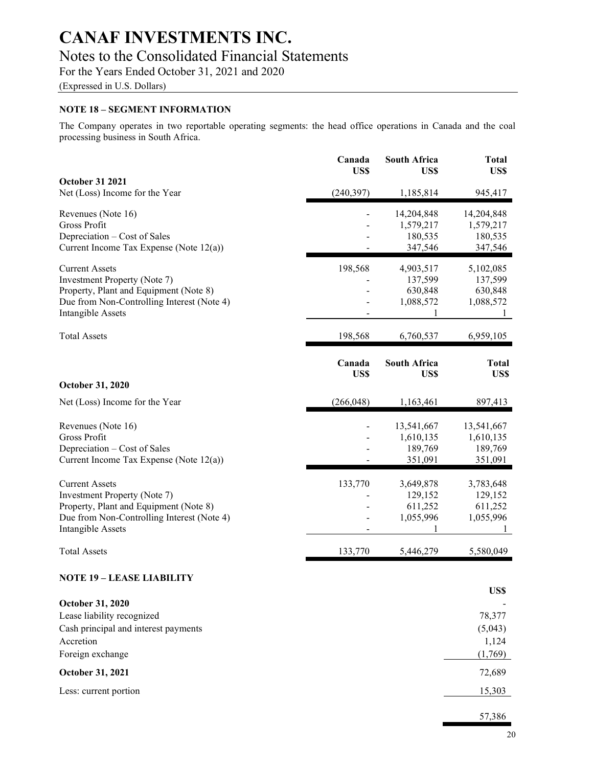### Notes to the Consolidated Financial Statements

For the Years Ended October 31, 2021 and 2020

(Expressed in U.S. Dollars)

#### NOTE 18 – SEGMENT INFORMATION

The Company operates in two reportable operating segments: the head office operations in Canada and the coal processing business in South Africa.

|                                                                                                                                                                           | Canada<br>US\$ | <b>South Africa</b><br>US\$                       | <b>Total</b><br>US\$                                         |
|---------------------------------------------------------------------------------------------------------------------------------------------------------------------------|----------------|---------------------------------------------------|--------------------------------------------------------------|
| <b>October 31 2021</b><br>Net (Loss) Income for the Year                                                                                                                  | (240, 397)     | 1,185,814                                         | 945,417                                                      |
| Revenues (Note 16)<br>Gross Profit<br>Depreciation – Cost of Sales<br>Current Income Tax Expense (Note 12(a))                                                             |                | 14,204,848<br>1,579,217<br>180,535<br>347,546     | 14,204,848<br>1,579,217<br>180,535<br>347,546                |
| <b>Current Assets</b><br>Investment Property (Note 7)<br>Property, Plant and Equipment (Note 8)<br>Due from Non-Controlling Interest (Note 4)<br><b>Intangible Assets</b> | 198,568        | 4,903,517<br>137,599<br>630,848<br>1,088,572<br>1 | 5,102,085<br>137,599<br>630,848<br>1,088,572<br>$\mathbf{I}$ |
| <b>Total Assets</b>                                                                                                                                                       | 198,568        | 6,760,537                                         | 6,959,105                                                    |
| October 31, 2020                                                                                                                                                          | Canada<br>US\$ | <b>South Africa</b><br>US\$                       | <b>Total</b><br>US\$                                         |
| Net (Loss) Income for the Year                                                                                                                                            | (266, 048)     | 1,163,461                                         | 897,413                                                      |
| Revenues (Note 16)<br>Gross Profit<br>Depreciation – Cost of Sales<br>Current Income Tax Expense (Note 12(a))                                                             |                | 13,541,667<br>1,610,135<br>189,769<br>351,091     | 13,541,667<br>1,610,135<br>189,769<br>351,091                |
| <b>Current Assets</b><br>Investment Property (Note 7)<br>Property, Plant and Equipment (Note 8)<br>Due from Non-Controlling Interest (Note 4)<br>Intangible Assets        | 133,770        | 3,649,878<br>129,152<br>611,252<br>1,055,996<br>1 | 3,783,648<br>129,152<br>611,252<br>1,055,996<br>1            |
| <b>Total Assets</b>                                                                                                                                                       | 133,770        | 5,446,279                                         | 5,580,049                                                    |
| <b>NOTE 19 - LEASE LIABILITY</b>                                                                                                                                          |                |                                                   | US\$                                                         |
| October 31, 2020<br>Lease liability recognized<br>Cash principal and interest payments<br>Accretion<br>Foreign exchange<br>October 31, 2021                               |                |                                                   | 78,377<br>(5,043)<br>1,124<br>(1,769)<br>72,689              |
| Less: current portion                                                                                                                                                     |                |                                                   | 15,303                                                       |
|                                                                                                                                                                           |                |                                                   | 57,386                                                       |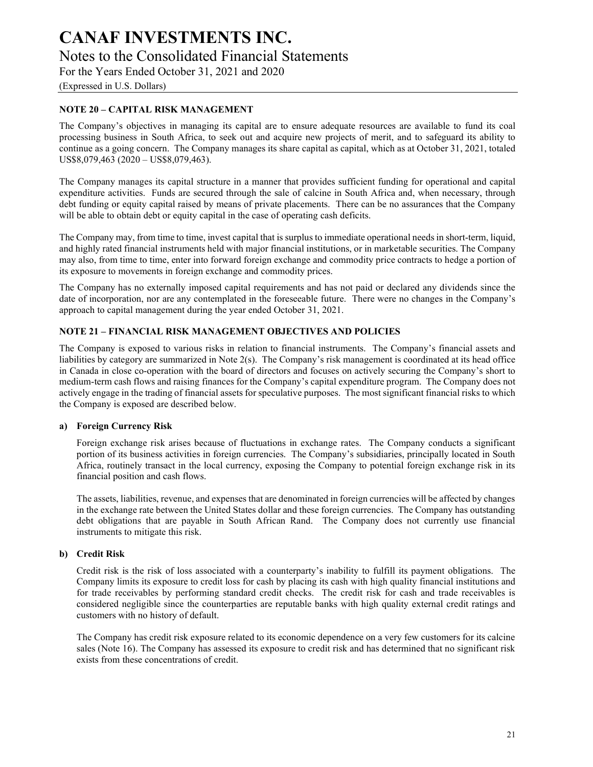### Notes to the Consolidated Financial Statements

For the Years Ended October 31, 2021 and 2020

(Expressed in U.S. Dollars)

#### NOTE 20 – CAPITAL RISK MANAGEMENT

The Company's objectives in managing its capital are to ensure adequate resources are available to fund its coal processing business in South Africa, to seek out and acquire new projects of merit, and to safeguard its ability to continue as a going concern. The Company manages its share capital as capital, which as at October 31, 2021, totaled US\$8,079,463 (2020 – US\$8,079,463).

The Company manages its capital structure in a manner that provides sufficient funding for operational and capital expenditure activities. Funds are secured through the sale of calcine in South Africa and, when necessary, through debt funding or equity capital raised by means of private placements. There can be no assurances that the Company will be able to obtain debt or equity capital in the case of operating cash deficits.

The Company may, from time to time, invest capital that is surplus to immediate operational needs in short-term, liquid, and highly rated financial instruments held with major financial institutions, or in marketable securities. The Company may also, from time to time, enter into forward foreign exchange and commodity price contracts to hedge a portion of its exposure to movements in foreign exchange and commodity prices.

The Company has no externally imposed capital requirements and has not paid or declared any dividends since the date of incorporation, nor are any contemplated in the foreseeable future. There were no changes in the Company's approach to capital management during the year ended October 31, 2021.

#### NOTE 21 – FINANCIAL RISK MANAGEMENT OBJECTIVES AND POLICIES

The Company is exposed to various risks in relation to financial instruments. The Company's financial assets and liabilities by category are summarized in Note 2(s). The Company's risk management is coordinated at its head office in Canada in close co-operation with the board of directors and focuses on actively securing the Company's short to medium-term cash flows and raising finances for the Company's capital expenditure program. The Company does not actively engage in the trading of financial assets for speculative purposes. The most significant financial risks to which the Company is exposed are described below.

#### a) Foreign Currency Risk

Foreign exchange risk arises because of fluctuations in exchange rates. The Company conducts a significant portion of its business activities in foreign currencies. The Company's subsidiaries, principally located in South Africa, routinely transact in the local currency, exposing the Company to potential foreign exchange risk in its financial position and cash flows.

The assets, liabilities, revenue, and expenses that are denominated in foreign currencies will be affected by changes in the exchange rate between the United States dollar and these foreign currencies. The Company has outstanding debt obligations that are payable in South African Rand. The Company does not currently use financial instruments to mitigate this risk.

#### b) Credit Risk

Credit risk is the risk of loss associated with a counterparty's inability to fulfill its payment obligations. The Company limits its exposure to credit loss for cash by placing its cash with high quality financial institutions and for trade receivables by performing standard credit checks. The credit risk for cash and trade receivables is considered negligible since the counterparties are reputable banks with high quality external credit ratings and customers with no history of default.

The Company has credit risk exposure related to its economic dependence on a very few customers for its calcine sales (Note 16). The Company has assessed its exposure to credit risk and has determined that no significant risk exists from these concentrations of credit.